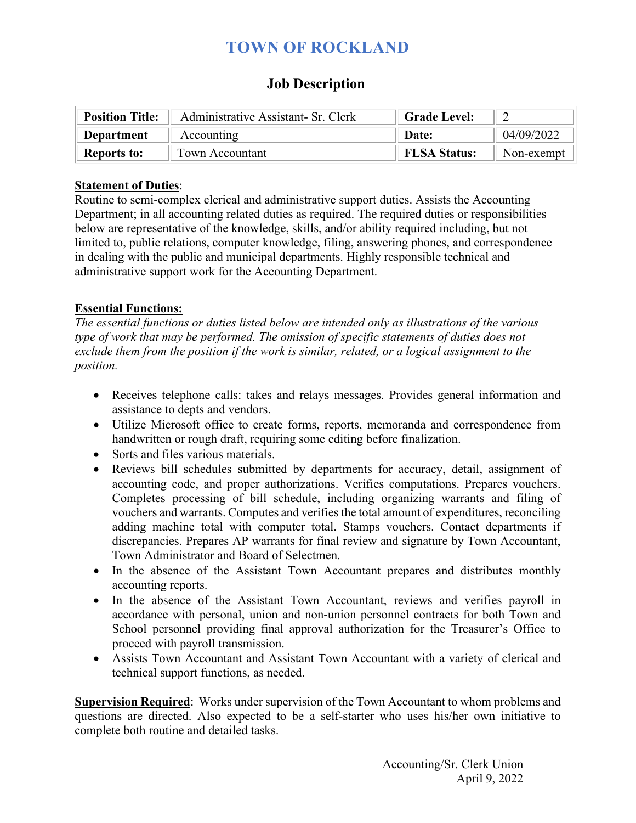# **TOWN OF ROCKLAND**

### **Job Description**

| <b>Position Title:</b> | Administrative Assistant- Sr. Clerk | <b>Grade Level:</b> |                    |
|------------------------|-------------------------------------|---------------------|--------------------|
| Department             | Accounting                          | Date:               | 04/09/2022         |
| <b>Reports to:</b>     | Town Accountant                     | <b>FLSA Status:</b> | Non-exempt $\vert$ |

#### **Statement of Duties**:

Routine to semi-complex clerical and administrative support duties. Assists the Accounting Department; in all accounting related duties as required. The required duties or responsibilities below are representative of the knowledge, skills, and/or ability required including, but not limited to, public relations, computer knowledge, filing, answering phones, and correspondence in dealing with the public and municipal departments. Highly responsible technical and administrative support work for the Accounting Department.

### **Essential Functions:**

*The essential functions or duties listed below are intended only as illustrations of the various type of work that may be performed. The omission of specific statements of duties does not exclude them from the position if the work is similar, related, or a logical assignment to the position.* 

- Receives telephone calls: takes and relays messages. Provides general information and assistance to depts and vendors.
- Utilize Microsoft office to create forms, reports, memoranda and correspondence from handwritten or rough draft, requiring some editing before finalization.
- Sorts and files various materials.
- Reviews bill schedules submitted by departments for accuracy, detail, assignment of accounting code, and proper authorizations. Verifies computations. Prepares vouchers. Completes processing of bill schedule, including organizing warrants and filing of vouchers and warrants. Computes and verifies the total amount of expenditures, reconciling adding machine total with computer total. Stamps vouchers. Contact departments if discrepancies. Prepares AP warrants for final review and signature by Town Accountant, Town Administrator and Board of Selectmen.
- In the absence of the Assistant Town Accountant prepares and distributes monthly accounting reports.
- In the absence of the Assistant Town Accountant, reviews and verifies payroll in accordance with personal, union and non-union personnel contracts for both Town and School personnel providing final approval authorization for the Treasurer's Office to proceed with payroll transmission.
- Assists Town Accountant and Assistant Town Accountant with a variety of clerical and technical support functions, as needed.

**Supervision Required**: Works under supervision of the Town Accountant to whom problems and questions are directed. Also expected to be a self-starter who uses his/her own initiative to complete both routine and detailed tasks.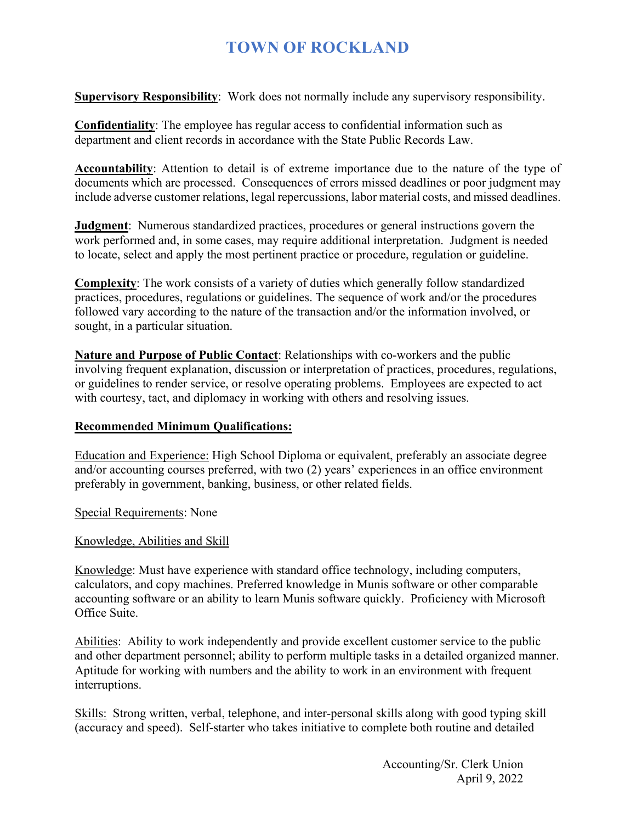# **TOWN OF ROCKLAND**

**Supervisory Responsibility**: Work does not normally include any supervisory responsibility.

**Confidentiality**: The employee has regular access to confidential information such as department and client records in accordance with the State Public Records Law.

**Accountability**: Attention to detail is of extreme importance due to the nature of the type of documents which are processed. Consequences of errors missed deadlines or poor judgment may include adverse customer relations, legal repercussions, labor material costs, and missed deadlines.

**Judgment**: Numerous standardized practices, procedures or general instructions govern the work performed and, in some cases, may require additional interpretation. Judgment is needed to locate, select and apply the most pertinent practice or procedure, regulation or guideline.

**Complexity**: The work consists of a variety of duties which generally follow standardized practices, procedures, regulations or guidelines. The sequence of work and/or the procedures followed vary according to the nature of the transaction and/or the information involved, or sought, in a particular situation.

**Nature and Purpose of Public Contact**: Relationships with co-workers and the public involving frequent explanation, discussion or interpretation of practices, procedures, regulations, or guidelines to render service, or resolve operating problems. Employees are expected to act with courtesy, tact, and diplomacy in working with others and resolving issues.

### **Recommended Minimum Qualifications:**

Education and Experience: High School Diploma or equivalent, preferably an associate degree and/or accounting courses preferred, with two (2) years' experiences in an office environment preferably in government, banking, business, or other related fields.

Special Requirements: None

#### Knowledge, Abilities and Skill

Knowledge: Must have experience with standard office technology, including computers, calculators, and copy machines. Preferred knowledge in Munis software or other comparable accounting software or an ability to learn Munis software quickly. Proficiency with Microsoft Office Suite.

Abilities: Ability to work independently and provide excellent customer service to the public and other department personnel; ability to perform multiple tasks in a detailed organized manner. Aptitude for working with numbers and the ability to work in an environment with frequent interruptions.

Skills: Strong written, verbal, telephone, and inter-personal skills along with good typing skill (accuracy and speed). Self-starter who takes initiative to complete both routine and detailed